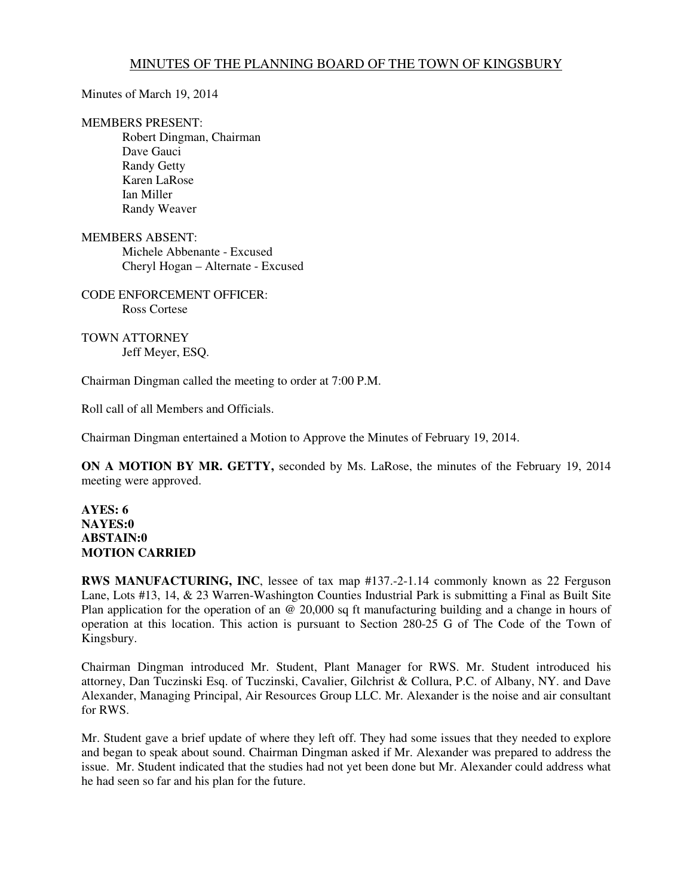## MINUTES OF THE PLANNING BOARD OF THE TOWN OF KINGSBURY

Minutes of March 19, 2014

## MEMBERS PRESENT:

 Robert Dingman, Chairman Dave Gauci Randy Getty Karen LaRose Ian Miller Randy Weaver

MEMBERS ABSENT: Michele Abbenante - Excused Cheryl Hogan – Alternate - Excused

CODE ENFORCEMENT OFFICER: Ross Cortese

TOWN ATTORNEY Jeff Meyer, ESQ.

Chairman Dingman called the meeting to order at 7:00 P.M.

Roll call of all Members and Officials.

Chairman Dingman entertained a Motion to Approve the Minutes of February 19, 2014.

**ON A MOTION BY MR. GETTY,** seconded by Ms. LaRose, the minutes of the February 19, 2014 meeting were approved.

## **AYES: 6 NAYES:0 ABSTAIN:0 MOTION CARRIED**

**RWS MANUFACTURING, INC.** lessee of tax map #137.-2-1.14 commonly known as 22 Ferguson Lane, Lots #13, 14, & 23 Warren-Washington Counties Industrial Park is submitting a Final as Built Site Plan application for the operation of an  $\ddot{\varphi}$  20,000 sq ft manufacturing building and a change in hours of operation at this location. This action is pursuant to Section 280-25 G of The Code of the Town of Kingsbury.

Chairman Dingman introduced Mr. Student, Plant Manager for RWS. Mr. Student introduced his attorney, Dan Tuczinski Esq. of Tuczinski, Cavalier, Gilchrist & Collura, P.C. of Albany, NY. and Dave Alexander, Managing Principal, Air Resources Group LLC. Mr. Alexander is the noise and air consultant for RWS.

Mr. Student gave a brief update of where they left off. They had some issues that they needed to explore and began to speak about sound. Chairman Dingman asked if Mr. Alexander was prepared to address the issue. Mr. Student indicated that the studies had not yet been done but Mr. Alexander could address what he had seen so far and his plan for the future.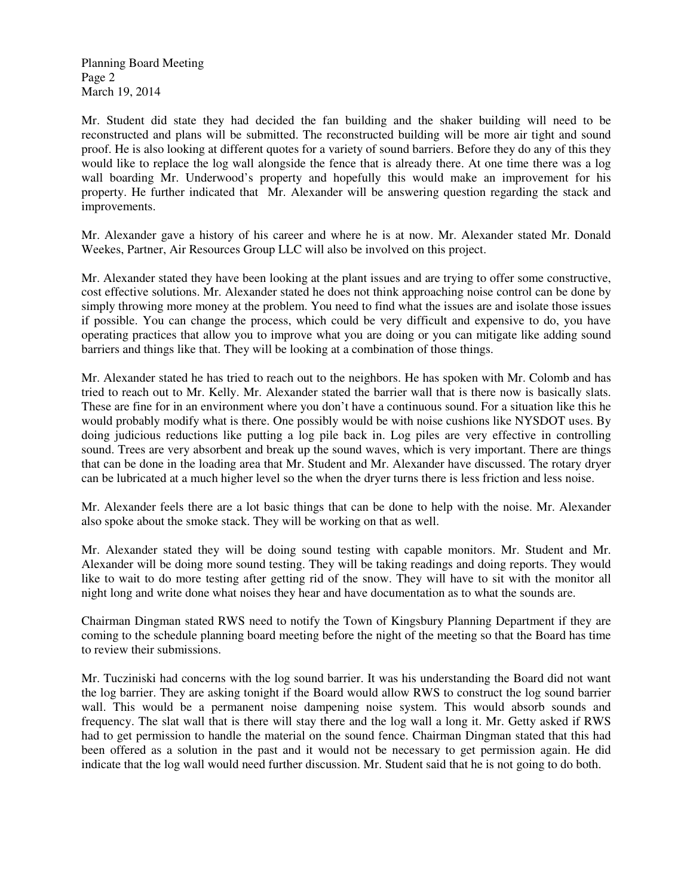Planning Board Meeting Page 2 March 19, 2014

Mr. Student did state they had decided the fan building and the shaker building will need to be reconstructed and plans will be submitted. The reconstructed building will be more air tight and sound proof. He is also looking at different quotes for a variety of sound barriers. Before they do any of this they would like to replace the log wall alongside the fence that is already there. At one time there was a log wall boarding Mr. Underwood's property and hopefully this would make an improvement for his property. He further indicated that Mr. Alexander will be answering question regarding the stack and improvements.

Mr. Alexander gave a history of his career and where he is at now. Mr. Alexander stated Mr. Donald Weekes, Partner, Air Resources Group LLC will also be involved on this project.

Mr. Alexander stated they have been looking at the plant issues and are trying to offer some constructive, cost effective solutions. Mr. Alexander stated he does not think approaching noise control can be done by simply throwing more money at the problem. You need to find what the issues are and isolate those issues if possible. You can change the process, which could be very difficult and expensive to do, you have operating practices that allow you to improve what you are doing or you can mitigate like adding sound barriers and things like that. They will be looking at a combination of those things.

Mr. Alexander stated he has tried to reach out to the neighbors. He has spoken with Mr. Colomb and has tried to reach out to Mr. Kelly. Mr. Alexander stated the barrier wall that is there now is basically slats. These are fine for in an environment where you don't have a continuous sound. For a situation like this he would probably modify what is there. One possibly would be with noise cushions like NYSDOT uses. By doing judicious reductions like putting a log pile back in. Log piles are very effective in controlling sound. Trees are very absorbent and break up the sound waves, which is very important. There are things that can be done in the loading area that Mr. Student and Mr. Alexander have discussed. The rotary dryer can be lubricated at a much higher level so the when the dryer turns there is less friction and less noise.

Mr. Alexander feels there are a lot basic things that can be done to help with the noise. Mr. Alexander also spoke about the smoke stack. They will be working on that as well.

Mr. Alexander stated they will be doing sound testing with capable monitors. Mr. Student and Mr. Alexander will be doing more sound testing. They will be taking readings and doing reports. They would like to wait to do more testing after getting rid of the snow. They will have to sit with the monitor all night long and write done what noises they hear and have documentation as to what the sounds are.

Chairman Dingman stated RWS need to notify the Town of Kingsbury Planning Department if they are coming to the schedule planning board meeting before the night of the meeting so that the Board has time to review their submissions.

Mr. Tucziniski had concerns with the log sound barrier. It was his understanding the Board did not want the log barrier. They are asking tonight if the Board would allow RWS to construct the log sound barrier wall. This would be a permanent noise dampening noise system. This would absorb sounds and frequency. The slat wall that is there will stay there and the log wall a long it. Mr. Getty asked if RWS had to get permission to handle the material on the sound fence. Chairman Dingman stated that this had been offered as a solution in the past and it would not be necessary to get permission again. He did indicate that the log wall would need further discussion. Mr. Student said that he is not going to do both.